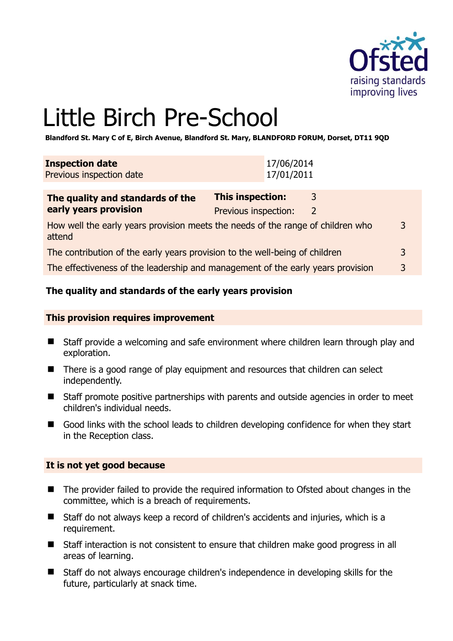

3

# Little Birch Pre-School

**Blandford St. Mary C of E, Birch Avenue, Blandford St. Mary, BLANDFORD FORUM, Dorset, DT11 9QD** 

| <b>Inspection date</b><br>Previous inspection date                                        | 17/06/2014<br>17/01/2011                        |                   |
|-------------------------------------------------------------------------------------------|-------------------------------------------------|-------------------|
| The quality and standards of the<br>early years provision                                 | <b>This inspection:</b><br>Previous inspection: | 3<br><sup>2</sup> |
| How well the early years provision meets the needs of the range of children who<br>attend |                                                 |                   |

| The contribution of the early years provision to the well-being of children |  |
|-----------------------------------------------------------------------------|--|
|                                                                             |  |

The effectiveness of the leadership and management of the early years provision 3

# **The quality and standards of the early years provision**

#### **This provision requires improvement**

- Staff provide a welcoming and safe environment where children learn through play and exploration.
- There is a good range of play equipment and resources that children can select independently.
- Staff promote positive partnerships with parents and outside agencies in order to meet children's individual needs.
- Good links with the school leads to children developing confidence for when they start in the Reception class.

# **It is not yet good because**

- The provider failed to provide the required information to Ofsted about changes in the committee, which is a breach of requirements.
- Staff do not always keep a record of children's accidents and injuries, which is a requirement.
- Staff interaction is not consistent to ensure that children make good progress in all areas of learning.
- Staff do not always encourage children's independence in developing skills for the future, particularly at snack time.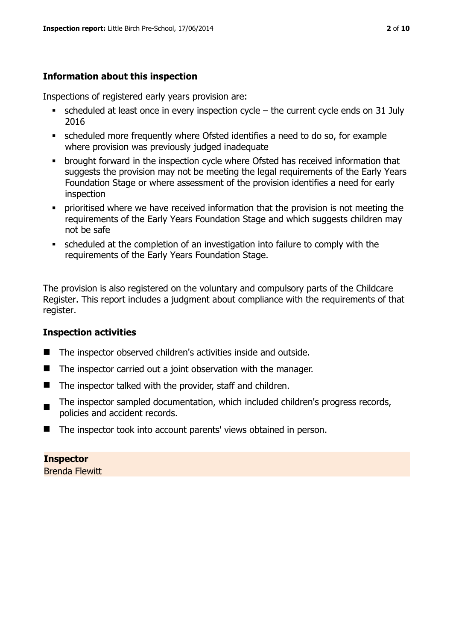# **Information about this inspection**

Inspections of registered early years provision are:

- $\bullet$  scheduled at least once in every inspection cycle the current cycle ends on 31 July 2016
- scheduled more frequently where Ofsted identifies a need to do so, for example where provision was previously judged inadequate
- **•** brought forward in the inspection cycle where Ofsted has received information that suggests the provision may not be meeting the legal requirements of the Early Years Foundation Stage or where assessment of the provision identifies a need for early inspection
- **•** prioritised where we have received information that the provision is not meeting the requirements of the Early Years Foundation Stage and which suggests children may not be safe
- scheduled at the completion of an investigation into failure to comply with the requirements of the Early Years Foundation Stage.

The provision is also registered on the voluntary and compulsory parts of the Childcare Register. This report includes a judgment about compliance with the requirements of that register.

# **Inspection activities**

- The inspector observed children's activities inside and outside.
- $\blacksquare$  The inspector carried out a joint observation with the manager.
- The inspector talked with the provider, staff and children.
- $\blacksquare$ The inspector sampled documentation, which included children's progress records, policies and accident records.
- The inspector took into account parents' views obtained in person.

# **Inspector**

Brenda Flewitt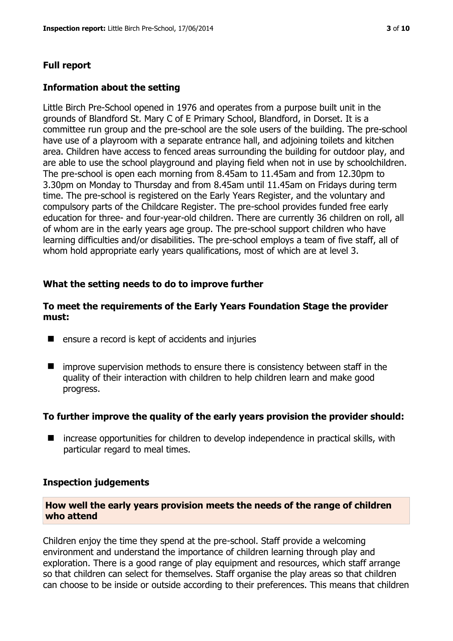## **Full report**

#### **Information about the setting**

Little Birch Pre-School opened in 1976 and operates from a purpose built unit in the grounds of Blandford St. Mary C of E Primary School, Blandford, in Dorset. It is a committee run group and the pre-school are the sole users of the building. The pre-school have use of a playroom with a separate entrance hall, and adjoining toilets and kitchen area. Children have access to fenced areas surrounding the building for outdoor play, and are able to use the school playground and playing field when not in use by schoolchildren. The pre-school is open each morning from 8.45am to 11.45am and from 12.30pm to 3.30pm on Monday to Thursday and from 8.45am until 11.45am on Fridays during term time. The pre-school is registered on the Early Years Register, and the voluntary and compulsory parts of the Childcare Register. The pre-school provides funded free early education for three- and four-year-old children. There are currently 36 children on roll, all of whom are in the early years age group. The pre-school support children who have learning difficulties and/or disabilities. The pre-school employs a team of five staff, all of whom hold appropriate early years qualifications, most of which are at level 3.

#### **What the setting needs to do to improve further**

#### **To meet the requirements of the Early Years Foundation Stage the provider must:**

- $\blacksquare$  ensure a record is kept of accidents and injuries
- $\blacksquare$  improve supervision methods to ensure there is consistency between staff in the quality of their interaction with children to help children learn and make good progress.

#### **To further improve the quality of the early years provision the provider should:**

■ increase opportunities for children to develop independence in practical skills, with particular regard to meal times.

#### **Inspection judgements**

#### **How well the early years provision meets the needs of the range of children who attend**

Children enjoy the time they spend at the pre-school. Staff provide a welcoming environment and understand the importance of children learning through play and exploration. There is a good range of play equipment and resources, which staff arrange so that children can select for themselves. Staff organise the play areas so that children can choose to be inside or outside according to their preferences. This means that children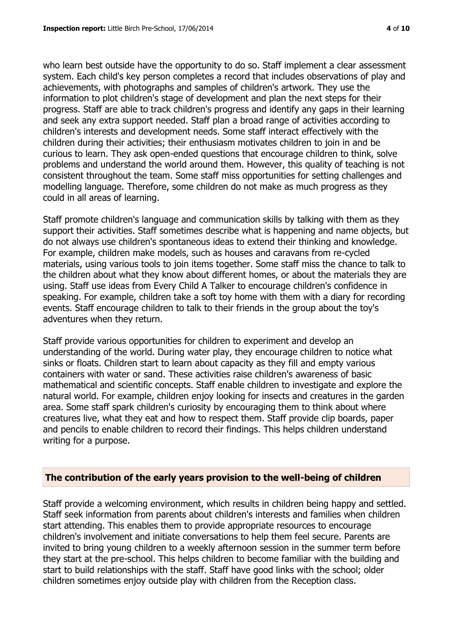who learn best outside have the opportunity to do so. Staff implement a clear assessment system. Each child's key person completes a record that includes observations of play and achievements, with photographs and samples of children's artwork. They use the information to plot children's stage of development and plan the next steps for their progress. Staff are able to track children's progress and identify any gaps in their learning and seek any extra support needed. Staff plan a broad range of activities according to children's interests and development needs. Some staff interact effectively with the children during their activities; their enthusiasm motivates children to join in and be curious to learn. They ask open-ended questions that encourage children to think, solve problems and understand the world around them. However, this quality of teaching is not consistent throughout the team. Some staff miss opportunities for setting challenges and modelling language. Therefore, some children do not make as much progress as they could in all areas of learning.

Staff promote children's language and communication skills by talking with them as they support their activities. Staff sometimes describe what is happening and name objects, but do not always use children's spontaneous ideas to extend their thinking and knowledge. For example, children make models, such as houses and caravans from re-cycled materials, using various tools to join items together. Some staff miss the chance to talk to the children about what they know about different homes, or about the materials they are using. Staff use ideas from Every Child A Talker to encourage children's confidence in speaking. For example, children take a soft toy home with them with a diary for recording events. Staff encourage children to talk to their friends in the group about the toy's adventures when they return.

Staff provide various opportunities for children to experiment and develop an understanding of the world. During water play, they encourage children to notice what sinks or floats. Children start to learn about capacity as they fill and empty various containers with water or sand. These activities raise children's awareness of basic mathematical and scientific concepts. Staff enable children to investigate and explore the natural world. For example, children enjoy looking for insects and creatures in the garden area. Some staff spark children's curiosity by encouraging them to think about where creatures live, what they eat and how to respect them. Staff provide clip boards, paper and pencils to enable children to record their findings. This helps children understand writing for a purpose.

#### **The contribution of the early years provision to the well-being of children**

Staff provide a welcoming environment, which results in children being happy and settled. Staff seek information from parents about children's interests and families when children start attending. This enables them to provide appropriate resources to encourage children's involvement and initiate conversations to help them feel secure. Parents are invited to bring young children to a weekly afternoon session in the summer term before they start at the pre-school. This helps children to become familiar with the building and start to build relationships with the staff. Staff have good links with the school; older children sometimes enjoy outside play with children from the Reception class.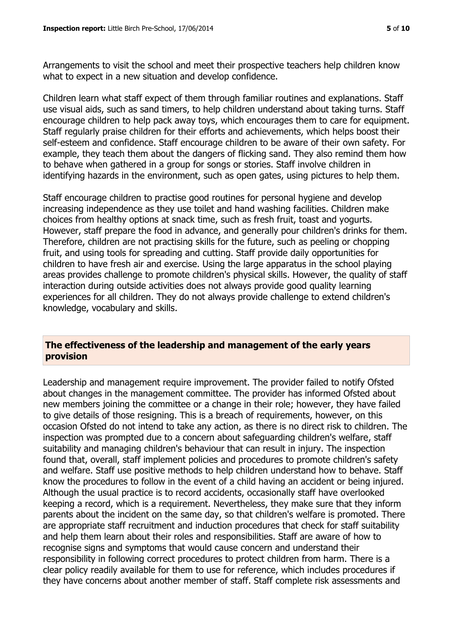Arrangements to visit the school and meet their prospective teachers help children know what to expect in a new situation and develop confidence.

Children learn what staff expect of them through familiar routines and explanations. Staff use visual aids, such as sand timers, to help children understand about taking turns. Staff encourage children to help pack away toys, which encourages them to care for equipment. Staff regularly praise children for their efforts and achievements, which helps boost their self-esteem and confidence. Staff encourage children to be aware of their own safety. For example, they teach them about the dangers of flicking sand. They also remind them how to behave when gathered in a group for songs or stories. Staff involve children in identifying hazards in the environment, such as open gates, using pictures to help them.

Staff encourage children to practise good routines for personal hygiene and develop increasing independence as they use toilet and hand washing facilities. Children make choices from healthy options at snack time, such as fresh fruit, toast and yogurts. However, staff prepare the food in advance, and generally pour children's drinks for them. Therefore, children are not practising skills for the future, such as peeling or chopping fruit, and using tools for spreading and cutting. Staff provide daily opportunities for children to have fresh air and exercise. Using the large apparatus in the school playing areas provides challenge to promote children's physical skills. However, the quality of staff interaction during outside activities does not always provide good quality learning experiences for all children. They do not always provide challenge to extend children's knowledge, vocabulary and skills.

# **The effectiveness of the leadership and management of the early years provision**

Leadership and management require improvement. The provider failed to notify Ofsted about changes in the management committee. The provider has informed Ofsted about new members joining the committee or a change in their role; however, they have failed to give details of those resigning. This is a breach of requirements, however, on this occasion Ofsted do not intend to take any action, as there is no direct risk to children. The inspection was prompted due to a concern about safeguarding children's welfare, staff suitability and managing children's behaviour that can result in injury. The inspection found that, overall, staff implement policies and procedures to promote children's safety and welfare. Staff use positive methods to help children understand how to behave. Staff know the procedures to follow in the event of a child having an accident or being injured. Although the usual practice is to record accidents, occasionally staff have overlooked keeping a record, which is a requirement. Nevertheless, they make sure that they inform parents about the incident on the same day, so that children's welfare is promoted. There are appropriate staff recruitment and induction procedures that check for staff suitability and help them learn about their roles and responsibilities. Staff are aware of how to recognise signs and symptoms that would cause concern and understand their responsibility in following correct procedures to protect children from harm. There is a clear policy readily available for them to use for reference, which includes procedures if they have concerns about another member of staff. Staff complete risk assessments and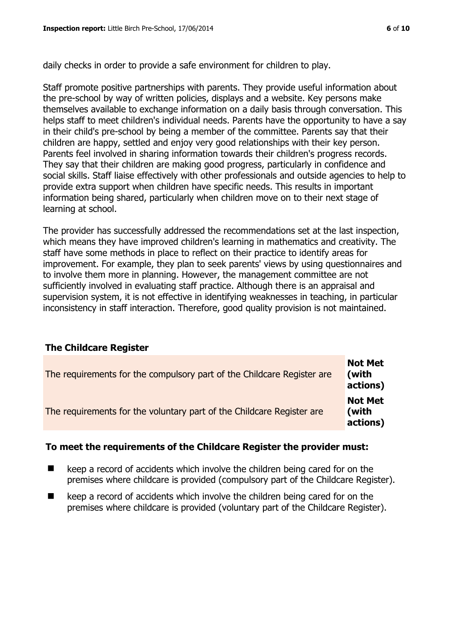daily checks in order to provide a safe environment for children to play.

Staff promote positive partnerships with parents. They provide useful information about the pre-school by way of written policies, displays and a website. Key persons make themselves available to exchange information on a daily basis through conversation. This helps staff to meet children's individual needs. Parents have the opportunity to have a say in their child's pre-school by being a member of the committee. Parents say that their children are happy, settled and enjoy very good relationships with their key person. Parents feel involved in sharing information towards their children's progress records. They say that their children are making good progress, particularly in confidence and social skills. Staff liaise effectively with other professionals and outside agencies to help to provide extra support when children have specific needs. This results in important information being shared, particularly when children move on to their next stage of learning at school.

The provider has successfully addressed the recommendations set at the last inspection, which means they have improved children's learning in mathematics and creativity. The staff have some methods in place to reflect on their practice to identify areas for improvement. For example, they plan to seek parents' views by using questionnaires and to involve them more in planning. However, the management committee are not sufficiently involved in evaluating staff practice. Although there is an appraisal and supervision system, it is not effective in identifying weaknesses in teaching, in particular inconsistency in staff interaction. Therefore, good quality provision is not maintained.

# **The Childcare Register**

| The requirements for the compulsory part of the Childcare Register are | <b>Not Met</b><br>(with<br>actions) |
|------------------------------------------------------------------------|-------------------------------------|
| The requirements for the voluntary part of the Childcare Register are  | <b>Not Met</b><br>(with<br>actions) |

# **To meet the requirements of the Childcare Register the provider must:**

- $\blacksquare$  keep a record of accidents which involve the children being cared for on the premises where childcare is provided (compulsory part of the Childcare Register).
- $\blacksquare$  keep a record of accidents which involve the children being cared for on the premises where childcare is provided (voluntary part of the Childcare Register).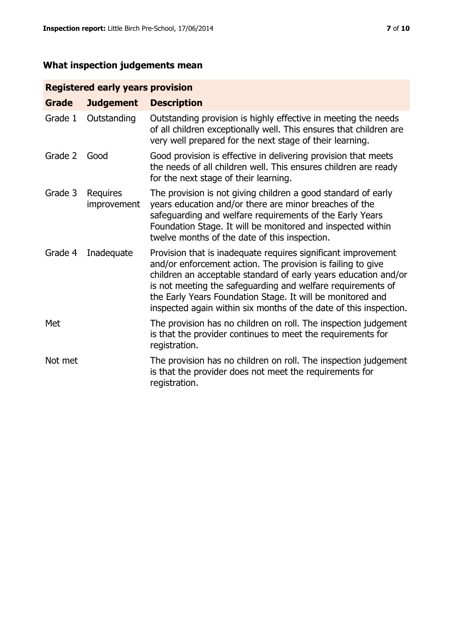# **What inspection judgements mean**

# **Registered early years provision**

| <b>Grade</b> | <b>Judgement</b>               | <b>Description</b>                                                                                                                                                                                                                                                                                                                                                                                |
|--------------|--------------------------------|---------------------------------------------------------------------------------------------------------------------------------------------------------------------------------------------------------------------------------------------------------------------------------------------------------------------------------------------------------------------------------------------------|
| Grade 1      | Outstanding                    | Outstanding provision is highly effective in meeting the needs<br>of all children exceptionally well. This ensures that children are<br>very well prepared for the next stage of their learning.                                                                                                                                                                                                  |
| Grade 2      | Good                           | Good provision is effective in delivering provision that meets<br>the needs of all children well. This ensures children are ready<br>for the next stage of their learning.                                                                                                                                                                                                                        |
| Grade 3      | <b>Requires</b><br>improvement | The provision is not giving children a good standard of early<br>years education and/or there are minor breaches of the<br>safeguarding and welfare requirements of the Early Years<br>Foundation Stage. It will be monitored and inspected within<br>twelve months of the date of this inspection.                                                                                               |
| Grade 4      | Inadequate                     | Provision that is inadequate requires significant improvement<br>and/or enforcement action. The provision is failing to give<br>children an acceptable standard of early years education and/or<br>is not meeting the safeguarding and welfare requirements of<br>the Early Years Foundation Stage. It will be monitored and<br>inspected again within six months of the date of this inspection. |
| Met          |                                | The provision has no children on roll. The inspection judgement<br>is that the provider continues to meet the requirements for<br>registration.                                                                                                                                                                                                                                                   |
| Not met      |                                | The provision has no children on roll. The inspection judgement<br>is that the provider does not meet the requirements for<br>registration.                                                                                                                                                                                                                                                       |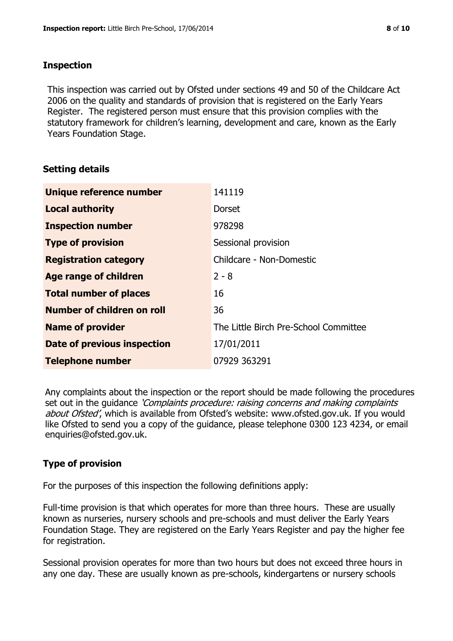# **Inspection**

This inspection was carried out by Ofsted under sections 49 and 50 of the Childcare Act 2006 on the quality and standards of provision that is registered on the Early Years Register. The registered person must ensure that this provision complies with the statutory framework for children's learning, development and care, known as the Early Years Foundation Stage.

# **Setting details**

| Unique reference number           | 141119                                |
|-----------------------------------|---------------------------------------|
| <b>Local authority</b>            | <b>Dorset</b>                         |
| <b>Inspection number</b>          | 978298                                |
| <b>Type of provision</b>          | Sessional provision                   |
| <b>Registration category</b>      | Childcare - Non-Domestic              |
| Age range of children             | $2 - 8$                               |
| <b>Total number of places</b>     | 16                                    |
| <b>Number of children on roll</b> | 36                                    |
| <b>Name of provider</b>           | The Little Birch Pre-School Committee |
| Date of previous inspection       | 17/01/2011                            |
| <b>Telephone number</b>           | 07929 363291                          |

Any complaints about the inspection or the report should be made following the procedures set out in the guidance *'Complaints procedure: raising concerns and making complaints* about Ofsted', which is available from Ofsted's website: www.ofsted.gov.uk. If you would like Ofsted to send you a copy of the guidance, please telephone 0300 123 4234, or email enquiries@ofsted.gov.uk.

# **Type of provision**

For the purposes of this inspection the following definitions apply:

Full-time provision is that which operates for more than three hours. These are usually known as nurseries, nursery schools and pre-schools and must deliver the Early Years Foundation Stage. They are registered on the Early Years Register and pay the higher fee for registration.

Sessional provision operates for more than two hours but does not exceed three hours in any one day. These are usually known as pre-schools, kindergartens or nursery schools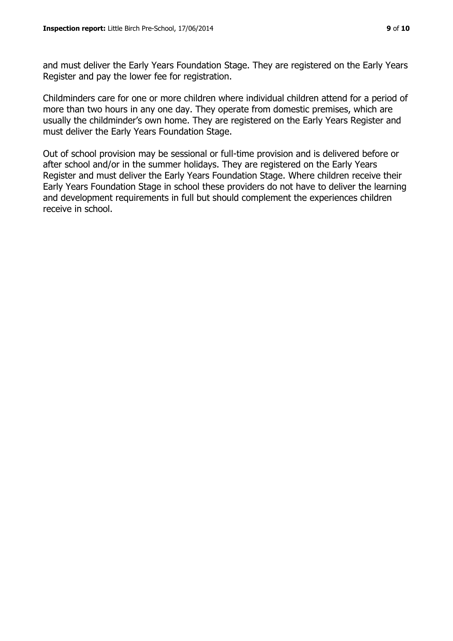and must deliver the Early Years Foundation Stage. They are registered on the Early Years Register and pay the lower fee for registration.

Childminders care for one or more children where individual children attend for a period of more than two hours in any one day. They operate from domestic premises, which are usually the childminder's own home. They are registered on the Early Years Register and must deliver the Early Years Foundation Stage.

Out of school provision may be sessional or full-time provision and is delivered before or after school and/or in the summer holidays. They are registered on the Early Years Register and must deliver the Early Years Foundation Stage. Where children receive their Early Years Foundation Stage in school these providers do not have to deliver the learning and development requirements in full but should complement the experiences children receive in school.